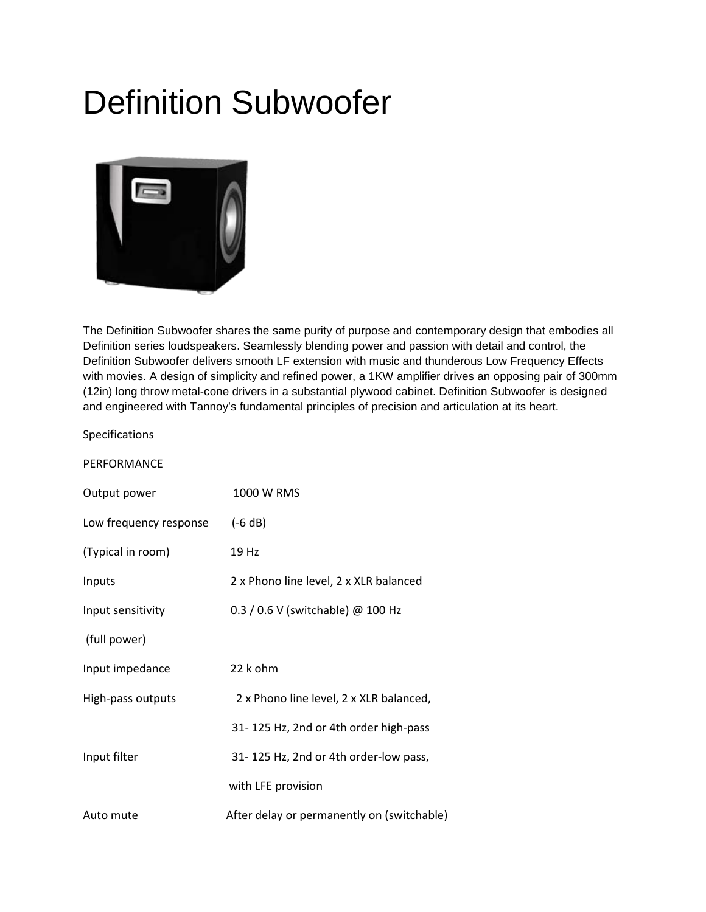## Definition Subwoofer



The Definition Subwoofer shares the same purity of purpose and contemporary design that embodies all Definition series loudspeakers. Seamlessly blending power and passion with detail and control, the Definition Subwoofer delivers smooth LF extension with music and thunderous Low Frequency Effects with movies. A design of simplicity and refined power, a 1KW amplifier drives an opposing pair of 300mm (12in) long throw metal-cone drivers in a substantial plywood cabinet. Definition Subwoofer is designed and engineered with Tannoy's fundamental principles of precision and articulation at its heart.

Specifications

| Output power           | 1000 W RMS                                 |
|------------------------|--------------------------------------------|
| Low frequency response | $(-6 dB)$                                  |
| (Typical in room)      | 19 Hz                                      |
| Inputs                 | 2 x Phono line level, 2 x XLR balanced     |
| Input sensitivity      | 0.3 / 0.6 V (switchable) @ 100 Hz          |
| (full power)           |                                            |
| Input impedance        | 22 k ohm                                   |
| High-pass outputs      | 2 x Phono line level, 2 x XLR balanced,    |
|                        | 31-125 Hz, 2nd or 4th order high-pass      |
| Input filter           | 31-125 Hz, 2nd or 4th order-low pass,      |
|                        | with LFE provision                         |
| Auto mute              | After delay or permanently on (switchable) |